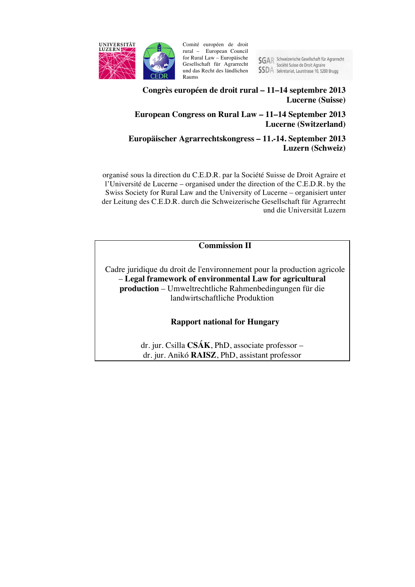

Comité européen de droit rural – European Council for Rural Law – Europäische Gesellschaft für Agrarrecht und das Recht des ländlichen Raums

SGAR Schweizerische Gesellschaft für Agrarrecht<br>Société Suisse de Droit Agraire **SSDA** Sekretariat, Laurstrasse 10, 5200 Brugg

# **Congrès européen de droit rural – 11–14 septembre 2013 Lucerne (Suisse)**

# **European Congress on Rural Law – 11–14 September 2013 Lucerne (Switzerland)**

# **Europäischer Agrarrechtskongress – 11.-14. September 2013 Luzern (Schweiz)**

organisé sous la direction du C.E.D.R. par la Société Suisse de Droit Agraire et l'Université de Lucerne – organised under the direction of the C.E.D.R. by the Swiss Society for Rural Law and the University of Lucerne – organisiert unter der Leitung des C.E.D.R. durch die Schweizerische Gesellschaft für Agrarrecht und die Universität Luzern

**Commission II**

Cadre juridique du droit de l'environnement pour la production agricole – **Legal framework of environmental Law for agricultural production** – Umweltrechtliche Rahmenbedingungen für die landwirtschaftliche Produktion

**Rapport national for Hungary**

dr. jur. Csilla **CSÁK**, PhD, associate professor – dr. jur. Anikó **RAISZ**, PhD, assistant professor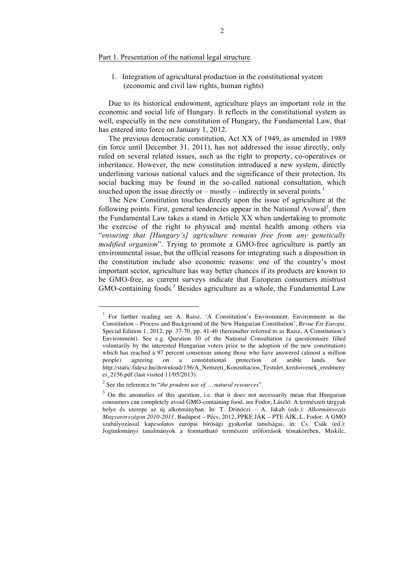## Part 1. Presentation of the national legal structure

1. Integration of agricultural production in the constitutional system (economic and civil law rights, human rights)

Due to its historical endowment, agriculture plays an important role in the economic and social life of Hungary. It reflects in the constitutional system as well, especially in the new constitution of Hungary, the Fundamental Law, that has entered into force on January 1, 2012.

The previous democratic constitution, Act XX of 1949, as amended in 1989 (in force until December 31, 2011), has not addressed the issue directly, only ruled on several related issues, such as the right to property, co-operatives or inheritance. However, the new constitution introduced a new system, directly underlining various national values and the significance of their protection. Its social backing may be found in the so-called national consultation, which touched upon the issue directly or  $-$  mostly  $-$  indirectly in several points.<sup>1</sup>

The New Constitution touches directly upon the issue of agriculture at the following points. First, general tendencies appear in the National Avowal<sup>2</sup>, then the Fundamental Law takes a stand in Article XX when undertaking to promote the exercise of the right to physical and mental health among others via "*ensuring that [Hungary's] agriculture remains free from any genetically modified organism*". Trying to promote a GMO-free agriculture is partly an environmental issue, but the official reasons for integrating such a disposition in the constitution include also economic reasons: one of the country's most important sector, agriculture has way better chances if its products are known to be GMO-free, as current surveys indicate that European consumers mistrust GMO-containing foods.<sup>3</sup> Besides agriculture as a whole, the Fundamental Law

<sup>&</sup>lt;sup>1</sup> For further reading see A. Raisz, 'A Constitution's Environment, Environment in the Constitution – Process and Background of the New Hungarian Constitution', *Revue Est Europa*, Special Edition 1, 2012, pp. 37-70, pp. 41-46 (hereinafter referred to as Raisz, A Constitution's Environment). See e.g. Question 10 of the National Consultation (a questionnaire filled voluntarily by the interested Hungarian voters prior to the adoption of the new constitution) which has reached a 97 percent consensus among those who have answered (almost a million people) agreeing on a constitutional protection of arable lands. See http://static.fidesz.hu/download/156/A\_Nemzeti\_Konzultacios\_Testulet\_kerdoivenek\_eredmeny ei\_2156.pdf (last visited 11/05/2013).

<sup>2</sup> See the reference to "*the prudent use of … natural resources*".

 $3$  On the anomalies of this question, i.e. that it does not necessarily mean that Hungarian consumers can completely avoid GMO-containing food, see Fodor, László: A természeti tárgyak helye és szerepe az új alkotmányban. In: T. Drinóczi – A. Jakab (eds.): *Alkotmányozás Magyarországon 2010-2011*. Budapest – Pécs, 2012, PPKE JÁK – PTE ÁJK, L. Fodor: A GMO szabályozással kapcsolatos európai bírósági gyakorlat tanulságai, in: Cs. Csák (ed.): Jogtudományi tanulmányok a fenntartható természeti erőforrások témakörében, Miskilc,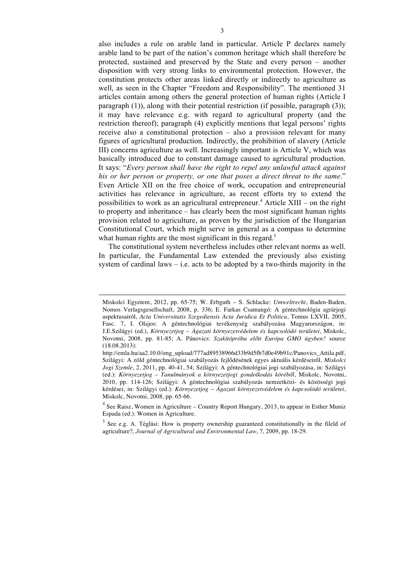also includes a rule on arable land in particular. Article P declares namely arable land to be part of the nation's common heritage which shall therefore be protected, sustained and preserved by the State and every person – another disposition with very strong links to environmental protection. However, the constitution protects other areas linked directly or indirectly to agriculture as well, as seen in the Chapter "Freedom and Responsibility". The mentioned 31 articles contain among others the general protection of human rights (Article I paragraph (1)), along with their potential restriction (if possible, paragraph (3)); it may have relevance e.g. with regard to agricultural property (and the restriction thereof); paragraph (4) explicitly mentions that legal persons' rights receive also a constitutional protection – also a provision relevant for many figures of agricultural production. Indirectly, the prohibition of slavery (Article III) concerns agriculture as well. Increasingly important is Article V, which was basically introduced due to constant damage caused to agricultural production. It says: "*Every person shall have the right to repel any unlawful attack against his or her person or property, or one that poses a direct threat to the same*." Even Article XII on the free choice of work, occupation and entrepreneurial activities has relevance in agriculture, as recent efforts try to extend the possibilities to work as an agricultural entrepreneur.<sup>4</sup> Article XIII – on the right to property and inheritance – has clearly been the most significant human rights provision related to agriculture, as proven by the jurisdiction of the Hungarian Constitutional Court, which might serve in general as a compass to determine what human rights are the most significant in this regard.<sup>5</sup>

The constitutional system nevertheless includes other relevant norms as well. In particular, the Fundamental Law extended the previously also existing system of cardinal laws  $-$  i.e. acts to be adopted by a two-thirds majority in the

Miskolci Egyetem, 2012, pp. 65-75; W. Erbguth – S. Schlacke: *Umweltrecht*, Baden-Baden, Nomos Verlagsgesellschaft, 2008, p. 336; E. Farkas Csamangó: A géntechnológia agrárjogi aspektusairól, *Acta Universitatis Szegediensis Acta Juridica Et Politica*, Tomus LXVII, 2005, Fasc. 7, I. Olajos: A géntechnológiai tevékenység szabályozása Magyarországon, in: J.E.Szilágyi (ed.), *Környezetjog – Ágazati környezetvédelem és kapcsolódó területei*, Miskolc, Novotni, 2008, pp. 81-85; A. Pánovics: *Szakítópróba előtt Európa GMO ügyben?* source (18.08.2013):

http://emla.hu/aa2.10.0/img\_upload/777ad89538966d33b9d5fb7d0e49b91c/Panovics\_Attila.pdf, Szilágyi: A zöld géntechnológiai szabályozás fejlődésének egyes aktuális kérdéseiről, *Miskolci Jogi Szemle*, 2, 2011, pp. 40-41, 54; Szilágyi: A géntechnológiai jogi szabályozása, in: Szilágyi (ed.): *Környezetjog – Tanulmányok a környezetjogi gondolkodás köréből*, Miskolc, Novotni, 2010, pp. 114-126; Szilágyi: A géntechnológiai szabályozás nemzetközi- és közösségi jogi kérdései, in: Szilágyi (ed.): *Környezetjog – Ágazati környezetvédelem és kapcsolódó területei*, Miskolc, Novotni, 2008, pp. 65-66.

<sup>&</sup>lt;sup>4</sup> See Raisz, Women in Agriculture – Country Report Hungary, 2013, to appear in Esther Muniz Espada (ed.): Women in Agriculture.

 $5$  See e.g. A. Téglási: How is property ownership guaranteed constitutionally in the fileld of agriculture?, *Journal of Agricultural and Environmental Law*, 7, 2009, pp. 18-29.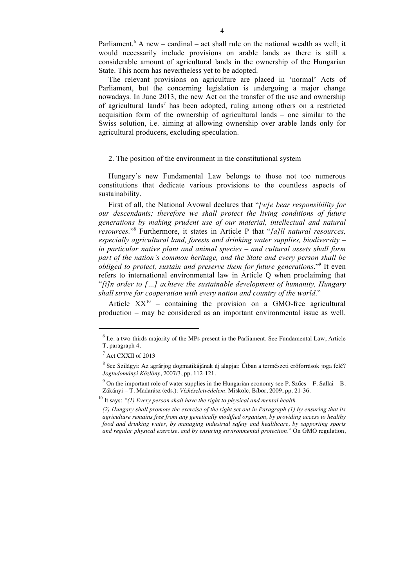Parliament.<sup>6</sup> A new – cardinal – act shall rule on the national wealth as well; it would necessarily include provisions on arable lands as there is still a considerable amount of agricultural lands in the ownership of the Hungarian State. This norm has nevertheless yet to be adopted.

The relevant provisions on agriculture are placed in 'normal' Acts of Parliament, but the concerning legislation is undergoing a major change nowadays. In June 2013, the new Act on the transfer of the use and ownership of agricultural lands<sup>7</sup> has been adopted, ruling among others on a restricted acquisition form of the ownership of agricultural lands – one similar to the Swiss solution, i.e. aiming at allowing ownership over arable lands only for agricultural producers, excluding speculation.

#### 2. The position of the environment in the constitutional system

Hungary's new Fundamental Law belongs to those not too numerous constitutions that dedicate various provisions to the countless aspects of sustainability.

First of all, the National Avowal declares that "*[w]e bear responsibility for our descendants; therefore we shall protect the living conditions of future generations by making prudent use of our material, intellectual and natural resources.*"<sup>8</sup> Furthermore, it states in Article P that "*[a]ll natural resources, especially agricultural land, forests and drinking water supplies, biodiversity – in particular native plant and animal species – and cultural assets shall form part of the nation's common heritage, and the State and every person shall be obliged to protect, sustain and preserve them for future generations*."<sup>9</sup> It even refers to international environmental law in Article Q when proclaiming that "*[i]n order to […] achieve the sustainable development of humanity, Hungary shall strive for cooperation with every nation and country of the world*."

Article  $XX^{10}$  – containing the provision on a GMO-free agricultural production – may be considered as an important environmental issue as well.

 $6$  I.e. a two-thirds majority of the MPs present in the Parliament. See Fundamental Law, Article T, paragraph 4.

<sup>7</sup> Act CXXII of 2013

<sup>8</sup> See Szilágyi: Az agrárjog dogmatikájának új alapjai: Útban a természeti erőforrások joga felé? *Jogtudományi Közlöny*, 2007/3, pp. 112-121.

 $9^9$  On the important role of water supplies in the Hungarian economy see P. Szűcs – F. Sallai – B. Zákányi – T. Madarász (eds.): *Vízkészletvédelem*. Miskolc, Bíbor, 2009, pp. 21-36.

<sup>10</sup> It says: *"(1) Every person shall have the right to physical and mental health.*

*<sup>(2)</sup> Hungary shall promote the exercise of the right set out in Paragraph (1) by ensuring that its agriculture remains free from any genetically modified organism, by providing access to healthy food and drinking water, by managing industrial safety and healthcare, by supporting sports and regular physical exercise, and by ensuring environmental protection*." On GMO regulation,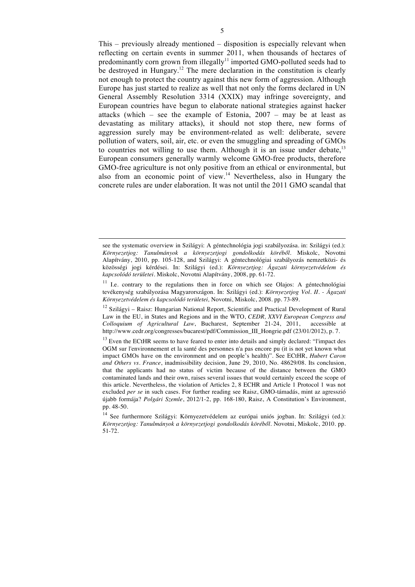This – previously already mentioned – disposition is especially relevant when reflecting on certain events in summer 2011, when thousands of hectares of predominantly corn grown from illegally<sup>11</sup> imported GMO-polluted seeds had to be destroyed in Hungary.<sup>12</sup> The mere declaration in the constitution is clearly not enough to protect the country against this new form of aggression. Although Europe has just started to realize as well that not only the forms declared in UN General Assembly Resolution 3314 (XXIX) may infringe sovereignty, and European countries have begun to elaborate national strategies against hacker attacks (which – see the example of Estonia,  $2007$  – may be at least as devastating as military attacks), it should not stop there, new forms of aggression surely may be environment-related as well: deliberate, severe pollution of waters, soil, air, etc. or even the smuggling and spreading of GMOs to countries not willing to use them. Although it is an issue under debate, $13$ European consumers generally warmly welcome GMO-free products, therefore GMO-free agriculture is not only positive from an ethical or environmental, but also from an economic point of view.<sup>14</sup> Nevertheless, also in Hungary the concrete rules are under elaboration. It was not until the 2011 GMO scandal that

 $\ddot{ }$ 

see the systematic overview in Szilágyi: A géntechnológia jogi szabályozása. in: Szilágyi (ed.): *Környezetjog: Tanulmányok a környezetjogi gondolkodás köréből*. Miskolc, Novotni Alapítvány, 2010, pp. 105-128, and Szilágyi: A géntechnológiai szabályozás nemzetközi- és közösségi jogi kérdései. In: Szilágyi (ed.): *Környezetjog: Ágazati környezetvédelem és kapcsolódó területei.* Miskolc, Novotni Alapítvány, 2008, pp. 61-72.

<sup>&</sup>lt;sup>11</sup> I.e. contrary to the regulations then in force on which see Olajos: A géntechnológiai tevékenység szabályozása Magyarországon. In: Szilágyi (ed.): *Környezetjog Vol. II. - Ágazati Környezetvédelem és kapcsolódó területei,* Novotni, Miskolc, 2008. pp. 73-89.

 $12$  Szilágyi – Raisz: Hungarian National Report, Scientific and Practical Development of Rural Law in the EU, in States and Regions and in the WTO, *CEDR, XXVI European Congress and Colloquium of Agricultural Law*, Bucharest, September 21-24, 2011, accessible at http://www.cedr.org/congresses/bucarest/pdf/Commission\_III\_Hongrie.pdf (23/01/2012), p. 7.

 $13$  Even the ECtHR seems to have feared to enter into details and simply declared: "l'impact des OGM sur l'environnement et la santé des personnes n'a pas encore pu (it is not yet known what impact GMOs have on the environment and on people's health)". See ECtHR, *Hubert Caron and Others vs. France*, inadmissibility decision, June 29, 2010, No. 48629/08. Its conclusion, that the applicants had no status of victim because of the distance between the GMO contaminated lands and their own, raises several issues that would certainly exceed the scope of this article. Nevertheless, the violation of Articles 2, 8 ECHR and Article 1 Protocol 1 was not excluded *per se* in such cases. For further reading see Raisz, GMO-támadás, mint az agresszió újabb formája? *Polgári Szemle*, 2012/1-2, pp. 168-180, Raisz, A Constitution's Environment, pp. 48-50.

<sup>14</sup> See furthermore Szilágyi: Környezetvédelem az európai uniós jogban. In: Szilágyi (ed.): *Környezetjog: Tanulmányok a környezetjogi gondolkodás köréből*. Novotni, Miskolc, 2010. pp. 51-72.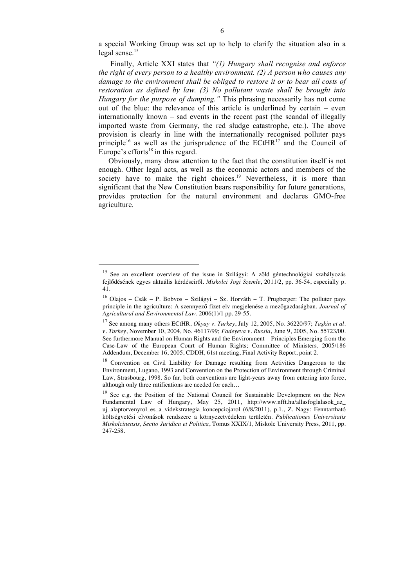a special Working Group was set up to help to clarify the situation also in a legal sense.<sup>15</sup>

Finally, Article XXI states that *"(1) Hungary shall recognise and enforce the right of every person to a healthy environment. (2) A person who causes any damage to the environment shall be obliged to restore it or to bear all costs of restoration as defined by law. (3) No pollutant waste shall be brought into Hungary for the purpose of dumping."* This phrasing necessarily has not come out of the blue: the relevance of this article is underlined by certain  $-$  even internationally known – sad events in the recent past (the scandal of illegally imported waste from Germany, the red sludge catastrophe, etc.). The above provision is clearly in line with the internationally recognised polluter pays principle<sup>16</sup> as well as the jurisprudence of the ECtHR<sup>17</sup> and the Council of Europe's efforts $18$  in this regard.

Obviously, many draw attention to the fact that the constitution itself is not enough. Other legal acts, as well as the economic actors and members of the society have to make the right choices.<sup>19</sup> Nevertheless, it is more than significant that the New Constitution bears responsibility for future generations, provides protection for the natural environment and declares GMO-free agriculture.

<sup>&</sup>lt;sup>15</sup> See an excellent overview of the issue in Szilágyi: A zöld géntechnológiai szabályozás fejlődésének egyes aktuális kérdéseiről. *Miskolci Jogi Szemle*, 2011/2, pp. 36-54, especially p. 41.

<sup>&</sup>lt;sup>16</sup> Olajos – Csák – P. Bobvos – Szilágyi – Sz. Horváth – T. Prugberger: The polluter pays principle in the agriculture: A szennyező fizet elv megjelenése a mezőgazdaságban. *Journal of Agricultural and Environmental Law.* 2006(1)/1 pp. 29-55.

<sup>17</sup> See among many others ECtHR, *Okyay v. Turkey*, July 12, 2005, No. 36220/97; *Taşkin et al. v. Turkey*, November 10, 2004, No. 46117/99; *Fadeyeva v. Russia*, June 9, 2005, No. 55723/00. See furthermore Manual on Human Rights and the Environment – Principles Emerging from the Case-Law of the European Court of Human Rights; Committee of Ministers, 2005/186 Addendum, December 16, 2005, CDDH, 61st meeting, Final Activity Report, point 2.

<sup>&</sup>lt;sup>18</sup> Convention on Civil Liability for Damage resulting from Activities Dangerous to the Environment, Lugano, 1993 and Convention on the Protection of Environment through Criminal Law, Strasbourg, 1998. So far, both conventions are light-years away from entering into force, although only three ratifications are needed for each…

<sup>&</sup>lt;sup>19</sup> See e.g. the Position of the National Council for Sustainable Development on the New Fundamental Law of Hungary, May 25, 2011, http://www.nfft.hu/allasfoglalasok\_az\_ uj alaptorvenyrol es a videkstrategia koncepciojarol (6/8/2011), p.1., Z. Nagy: Fenntartható költségvetési elvonások rendszere a környezetvédelem területén. *Publicationes Universitatis Miskolcinensis, Sectio Juridica et Politica*, Tomus XXIX/1, Miskolc University Press, 2011, pp. 247-258.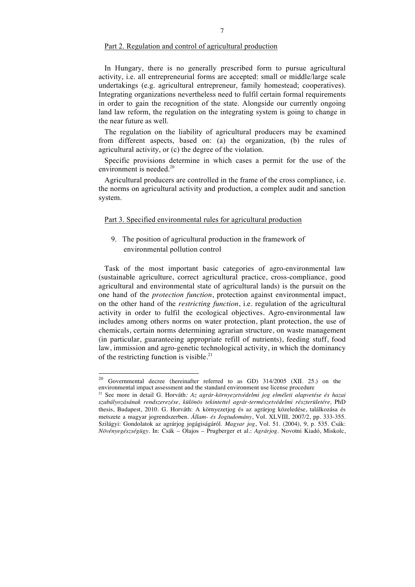### Part 2. Regulation and control of agricultural production

In Hungary, there is no generally prescribed form to pursue agricultural activity, i.e. all entrepreneurial forms are accepted: small or middle/large scale undertakings (e.g. agricultural entrepreneur, family homestead; cooperatives). Integrating organizations nevertheless need to fulfil certain formal requirements in order to gain the recognition of the state. Alongside our currently ongoing land law reform, the regulation on the integrating system is going to change in the near future as well.

The regulation on the liability of agricultural producers may be examined from different aspects, based on: (a) the organization, (b) the rules of agricultural activity, or (c) the degree of the violation.

Specific provisions determine in which cases a permit for the use of the environment is needed.<sup>20</sup>

Agricultural producers are controlled in the frame of the cross compliance, i.e. the norms on agricultural activity and production, a complex audit and sanction system.

## Part 3. Specified environmental rules for agricultural production

9. The position of agricultural production in the framework of environmental pollution control

Task of the most important basic categories of agro-environmental law (sustainable agriculture, correct agricultural practice, cross-compliance, good agricultural and environmental state of agricultural lands) is the pursuit on the one hand of the *protection function*, protection against environmental impact, on the other hand of the *restricting function*, i.e. regulation of the agricultural activity in order to fulfil the ecological objectives. Agro-environmental law includes among others norms on water protection, plant protection, the use of chemicals, certain norms determining agrarian structure, on waste management (in particular, guaranteeing appropriate refill of nutrients), feeding stuff, food law, immission and agro-genetic technological activity, in which the dominancy of the restricting function is visible.<sup>21</sup>

<sup>&</sup>lt;sup>20</sup> Governmental decree (hereinafter referred to as GD)  $314/2005$  (XII. 25.) on the environmental impact assessment and the standard environment use license procedure

<sup>21</sup> See more in detail G. Horváth*: Az agrár-környezetvédelmi jog elméleti alapvetése és hazai szabályozásának rendszerezése, különös tekintettel agrár-természetvédelmi részterületére,* PhD thesis, Budapest, 2010. G. Horváth: A környezetjog és az agrárjog közeledése, találkozása és metszete a magyar jogrendszerben. *Állam- és Jogtudomány*, Vol. XLVIII, 2007/2, pp. 333-355. Szilágyi: Gondolatok az agrárjog jogágiságáról. *Magyar jog*, Vol. 51. (2004), 9, p. 535. Csák: *Növényegészségügy*. In: Csák – Olajos – Prugberger et al.: *Agrárjog*. Novotni Kiadó, Miskolc,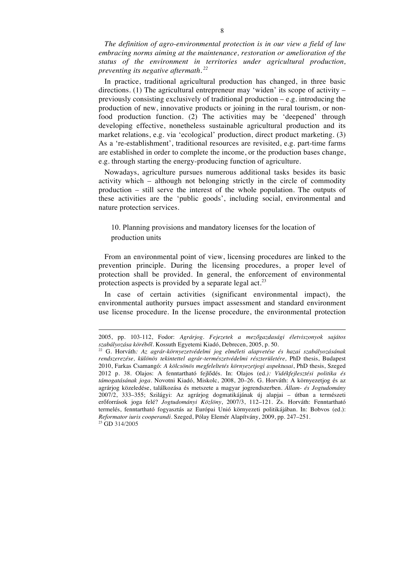*The definition of agro-environmental protection is in our view a field of law embracing norms aiming at the maintenance, restoration or amelioration of the status of the environment in territories under agricultural production, preventing its negative aftermath. <sup>22</sup>*

In practice, traditional agricultural production has changed, in three basic directions. (1) The agricultural entrepreneur may 'widen' its scope of activity  $$ previously consisting exclusively of traditional production – e.g. introducing the production of new, innovative products or joining in the rural tourism, or nonfood production function. (2) The activities may be 'deepened' through developing effective, nonetheless sustainable agricultural production and its market relations, e.g. via 'ecological' production, direct product marketing. (3) As a 're-establishment', traditional resources are revisited, e.g. part-time farms are established in order to complete the income, or the production bases change, e.g. through starting the energy-producing function of agriculture.

Nowadays, agriculture pursues numerous additional tasks besides its basic activity which – although not belonging strictly in the circle of commodity production – still serve the interest of the whole population. The outputs of these activities are the 'public goods', including social, environmental and nature protection services.

## 10. Planning provisions and mandatory licenses for the location of production units

From an environmental point of view, licensing procedures are linked to the prevention principle. During the licensing procedures, a proper level of protection shall be provided. In general, the enforcement of environmental protection aspects is provided by a separate legal act.<sup>23</sup>

In case of certain activities (significant environmental impact), the environmental authority pursues impact assessment and standard environment use license procedure. In the license procedure, the environmental protection

<sup>2005,</sup> pp. 103-112, Fodor: *Agrárjog*. *Fejezetek a mezőgazdasági életviszonyok sajátos szabályozása köréből*. Kossuth Egyetemi Kiadó, Debrecen, 2005, p. 50.

<sup>22</sup> G. Horváth*: Az agrár-környezetvédelmi jog elméleti alapvetése és hazai szabályozásának rendszerezése, különös tekintettel agrár-természetvédelmi részterületére,* PhD thesis, Budapest 2010, Farkas Csamangó: *A kölcsönös megfeleltetés környezetjogi aspektusai*, PhD thesis, Szeged 2012 p. 38. Olajos: A fenntartható fejlődés. In: Olajos (ed*.): Vidékfejlesztési politika és támogatásának joga.* Novotni Kiadó, Miskolc, 2008, 20–26. G. Horváth: A környezetjog és az agrárjog közeledése, találkozása és metszete a magyar jogrendszerben. *Állam- és Jogtudomány*  2007/2, 333–355; Szilágyi: Az agrárjog dogmatikájának új alapjai – útban a természeti erőforrások joga felé? *Jogtudományi Közlöny*, 2007/3, 112–121. Zs. Horváth: Fenntartható termelés, fenntartható fogyasztás az Európai Unió környezeti politikájában. In: Bobvos (ed.): *Reformator iuris cooperandi*. Szeged, Pólay Elemér Alapítvány, 2009, pp. 247–251. <sup>23</sup> GD 314/2005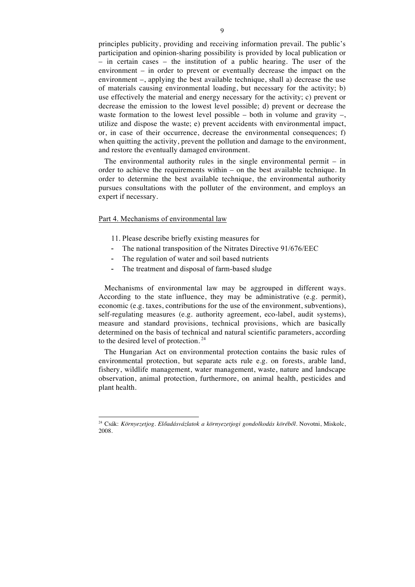principles publicity, providing and receiving information prevail. The public's participation and opinion-sharing possibility is provided by local publication or – in certain cases – the institution of a public hearing. The user of the environment – in order to prevent or eventually decrease the impact on the environment –, applying the best available technique, shall a) decrease the use of materials causing environmental loading, but necessary for the activity; b) use effectively the material and energy necessary for the activity; c) prevent or decrease the emission to the lowest level possible; d) prevent or decrease the waste formation to the lowest level possible – both in volume and gravity –, utilize and dispose the waste; e) prevent accidents with environmental impact, or, in case of their occurrence, decrease the environmental consequences; f) when quitting the activity, prevent the pollution and damage to the environment, and restore the eventually damaged environment.

The environmental authority rules in the single environmental permit  $-$  in order to achieve the requirements within – on the best available technique. In order to determine the best available technique, the environmental authority pursues consultations with the polluter of the environment, and employs an expert if necessary.

#### Part 4. Mechanisms of environmental law

- 11. Please describe briefly existing measures for
- The national transposition of the Nitrates Directive 91/676/EEC
- The regulation of water and soil based nutrients
- The treatment and disposal of farm-based sludge

Mechanisms of environmental law may be aggrouped in different ways. According to the state influence, they may be administrative (e.g. permit), economic (e.g. taxes, contributions for the use of the environment, subventions), self-regulating measures (e.g. authority agreement, eco-label, audit systems), measure and standard provisions, technical provisions, which are basically determined on the basis of technical and natural scientific parameters, according to the desired level of protection. <sup>24</sup>

The Hungarian Act on environmental protection contains the basic rules of environmental protection, but separate acts rule e.g. on forests, arable land, fishery, wildlife management, water management, waste, nature and landscape observation, animal protection, furthermore, on animal health, pesticides and plant health.

 <sup>24</sup> Csák: *Környezetjog. Előadásvázlatok a környezetjogi gondolkodás köréből.* Novotni, Miskolc, 2008.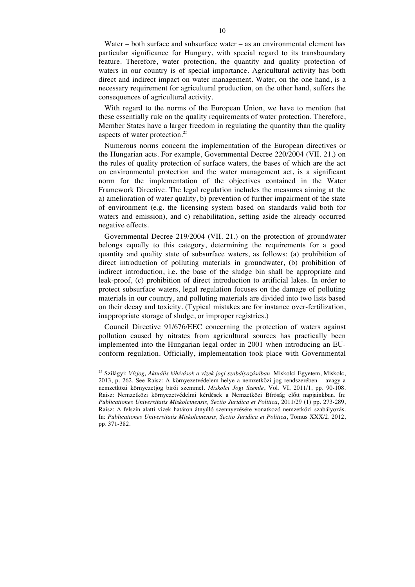Water – both surface and subsurface water – as an environmental element has particular significance for Hungary, with special regard to its transboundary feature. Therefore, water protection, the quantity and quality protection of waters in our country is of special importance. Agricultural activity has both direct and indirect impact on water management. Water, on the one hand, is a necessary requirement for agricultural production, on the other hand, suffers the consequences of agricultural activity.

With regard to the norms of the European Union, we have to mention that these essentially rule on the quality requirements of water protection. Therefore, Member States have a larger freedom in regulating the quantity than the quality aspects of water protection.<sup>25</sup>

Numerous norms concern the implementation of the European directives or the Hungarian acts. For example, Governmental Decree 220/2004 (VII. 21.) on the rules of quality protection of surface waters, the bases of which are the act on environmental protection and the water management act, is a significant norm for the implementation of the objectives contained in the Water Framework Directive. The legal regulation includes the measures aiming at the a) amelioration of water quality, b) prevention of further impairment of the state of environment (e.g. the licensing system based on standards valid both for waters and emission), and c) rehabilitation, setting aside the already occurred negative effects.

Governmental Decree 219/2004 (VII. 21.) on the protection of groundwater belongs equally to this category, determining the requirements for a good quantity and quality state of subsurface waters, as follows: (a) prohibition of direct introduction of polluting materials in groundwater, (b) prohibition of indirect introduction, i.e. the base of the sludge bin shall be appropriate and leak-proof, (c) prohibition of direct introduction to artificial lakes. In order to protect subsurface waters, legal regulation focuses on the damage of polluting materials in our country, and polluting materials are divided into two lists based on their decay and toxicity. (Typical mistakes are for instance over-fertilization, inappropriate storage of sludge, or improper registries.)

Council Directive 91/676/EEC concerning the protection of waters against pollution caused by nitrates from agricultural sources has practically been implemented into the Hungarian legal order in 2001 when introducing an EUconform regulation. Officially, implementation took place with Governmental

 <sup>25</sup> Szilágyi: *Vízjog, Aktuális kihívások a vizek jogi szabályozásában*. Miskolci Egyetem, Miskolc, 2013, p. 262. See Raisz: A környezetvédelem helye a nemzetközi jog rendszerében – avagy a nemzetközi környezetjog bírói szemmel. *Miskolci Jogi Szemle*, Vol. VI, 2011/1, pp. 90-108. Raisz: Nemzetközi környezetvédelmi kérdések a Nemzetközi Bíróság előtt napjainkban. In: *Publicationes Universitatis Miskolcinensis, Sectio Juridica et Politica*, 2011/29 (1) pp. 273-289, Raisz: A felszín alatti vizek határon átnyúló szennyezésére vonatkozó nemzetközi szabályozás. In: *Publicationes Universitatis Miskolcinensis, Sectio Juridica et Politica*, Tomus XXX/2. 2012, pp. 371-382.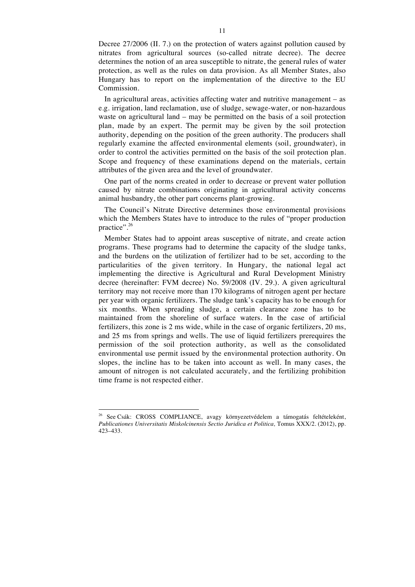Decree 27/2006 (II. 7.) on the protection of waters against pollution caused by nitrates from agricultural sources (so-called nitrate decree). The decree determines the notion of an area susceptible to nitrate, the general rules of water protection, as well as the rules on data provision. As all Member States, also Hungary has to report on the implementation of the directive to the EU Commission.

In agricultural areas, activities affecting water and nutritive management – as e.g. irrigation, land reclamation, use of sludge, sewage-water, or non-hazardous waste on agricultural land – may be permitted on the basis of a soil protection plan, made by an expert. The permit may be given by the soil protection authority, depending on the position of the green authority. The producers shall regularly examine the affected environmental elements (soil, groundwater), in order to control the activities permitted on the basis of the soil protection plan. Scope and frequency of these examinations depend on the materials, certain attributes of the given area and the level of groundwater.

One part of the norms created in order to decrease or prevent water pollution caused by nitrate combinations originating in agricultural activity concerns animal husbandry, the other part concerns plant-growing.

The Council's Nitrate Directive determines those environmental provisions which the Members States have to introduce to the rules of "proper production practice".<sup>26</sup>

Member States had to appoint areas susceptive of nitrate, and create action programs. These programs had to determine the capacity of the sludge tanks, and the burdens on the utilization of fertilizer had to be set, according to the particularities of the given territory. In Hungary, the national legal act implementing the directive is Agricultural and Rural Development Ministry decree (hereinafter: FVM decree) No. 59/2008 (IV. 29.). A given agricultural territory may not receive more than 170 kilograms of nitrogen agent per hectare per year with organic fertilizers. The sludge tank's capacity has to be enough for six months. When spreading sludge, a certain clearance zone has to be maintained from the shoreline of surface waters. In the case of artificial fertilizers, this zone is 2 ms wide, while in the case of organic fertilizers, 20 ms, and 25 ms from springs and wells. The use of liquid fertilizers prerequires the permission of the soil protection authority, as well as the consolidated environmental use permit issued by the environmental protection authority. On slopes, the incline has to be taken into account as well. In many cases, the amount of nitrogen is not calculated accurately, and the fertilizing prohibition time frame is not respected either.

<sup>&</sup>lt;sup>26</sup> See Csák: CROSS COMPLIANCE, avagy környezetvédelem a támogatás feltételeként, *Publicationes Universitatis Miskolcinensis Sectio Juridica et Politica,* Tomus XXX/2. (2012), pp. 423–433.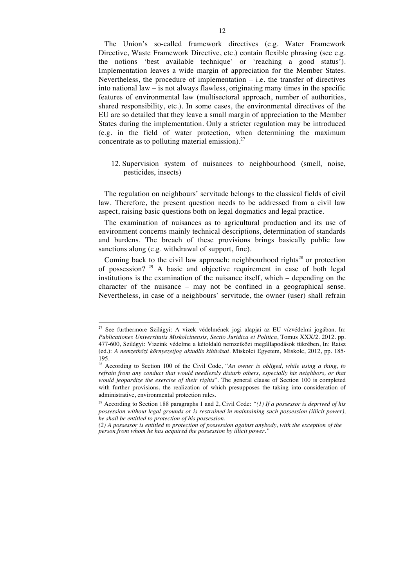The Union's so-called framework directives (e.g. Water Framework Directive, Waste Framework Directive, etc.) contain flexible phrasing (see e.g. the notions 'best available technique' or 'reaching a good status'). Implementation leaves a wide margin of appreciation for the Member States. Nevertheless, the procedure of implementation  $-$  i.e. the transfer of directives into national law – is not always flawless, originating many times in the specific features of environmental law (multisectoral approach, number of authorities, shared responsibility, etc.). In some cases, the environmental directives of the EU are so detailed that they leave a small margin of appreciation to the Member States during the implementation. Only a stricter regulation may be introduced (e.g. in the field of water protection, when determining the maximum concentrate as to polluting material emission). $27$ 

## 12. Supervision system of nuisances to neighbourhood (smell, noise, pesticides, insects)

The regulation on neighbours' servitude belongs to the classical fields of civil law. Therefore, the present question needs to be addressed from a civil law aspect, raising basic questions both on legal dogmatics and legal practice.

The examination of nuisances as to agricultural production and its use of environment concerns mainly technical descriptions, determination of standards and burdens. The breach of these provisions brings basically public law sanctions along (e.g. withdrawal of support, fine).

Coming back to the civil law approach: neighbourhood rights<sup>28</sup> or protection of possession?  $2^9$  A basic and objective requirement in case of both legal institutions is the examination of the nuisance itself, which – depending on the character of the nuisance – may not be confined in a geographical sense. Nevertheless, in case of a neighbours' servitude, the owner (user) shall refrain

 <sup>27</sup> See furthermore Szilágyi: A vizek védelmének jogi alapjai az EU vízvédelmi jogában. In: *Publicationes Universitatis Miskolcinensis, Sectio Juridica et Politica*, Tomus XXX/2. 2012. pp. 477-600, Szilágyi: Vizeink védelme a kétoldalú nemzetközi megállapodások tükrében, In: Raisz (ed.): *A nemzetközi környezetjog aktuális kihívásai.* Miskolci Egyetem, Miskolc, 2012, pp. 185- 195.

<sup>28</sup> According to Section 100 of the Civil Code, "*An owner is obliged, while using a thing, to refrain from any conduct that would needlessly disturb others, especially his neighbors, or that would jeopardize the exercise of their rights*". The general clause of Section 100 is completed with further provisions, the realization of which presupposes the taking into consideration of administrative, environmental protection rules.

<sup>29</sup> According to Section 188 paragraphs 1 and 2, Civil Code: *"(1) If a possessor is deprived of his possession without legal grounds or is restrained in maintaining such possession (illicit power), he shall be entitled to protection of his possession.*

*<sup>(2)</sup> A possessor is entitled to protection of possession against anybody, with the exception of the person from whom he has acquired the possession by illicit power."*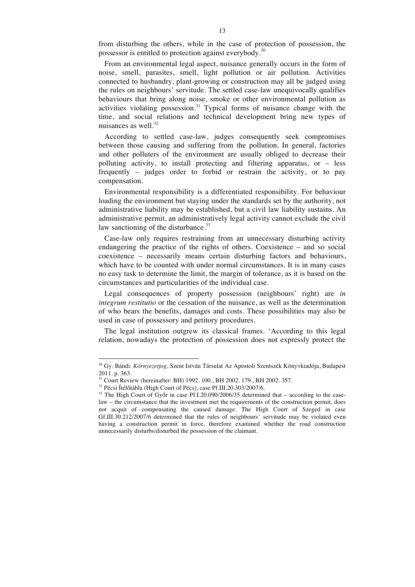from disturbing the others, while in the case of protection of possession, the possessor is entitled to protection against everybody.<sup>30</sup>

From an environmental legal aspect, nuisance generally occurs in the form of noise, smell, parasites, smell, light pollution or air pollution. Activities connected to husbandry, plant-growing or construction may all be judged using the rules on neighbours' servitude. The settled case-law unequivocally qualifies behaviours that bring along noise, smoke or other environmental pollution as activities violating possession.<sup>31</sup> Typical forms of nuisance change with the time, and social relations and technical development bring new types of nuisances as well.<sup>32</sup>

According to settled case-law, judges consequently seek compromises between those causing and suffering from the pollution. In general, factories and other polluters of the environment are usually obliged to decrease their polluting activity, to install protecting and filtering apparatus, or – less frequently – judges order to forbid or restrain the activity, or to pay compensation.

Environmental responsibility is a differentiated responsibility. For behaviour loading the environment but staying under the standards set by the authority, not administrative liability may be established, but a civil law liability sustains. An administrative permit, an administratively legal activity cannot exclude the civil law sanctioning of the disturbance. $33$ 

Case-law only requires restraining from an unnecessary disturbing activity endangering the practice of the rights of others. Coexistence – and so social coexistence – necessarily means certain disturbing factors and behaviours, which have to be counted with under normal circumstances. It is in many cases no easy task to determine the limit, the margin of tolerance, as it is based on the circumstances and particularities of the individual case.

Legal consequences of property possession (neighbours' right) are *in integrum restitutio* or the cessation of the nuisance, as well as the determination of who bears the benefits, damages and costs. These possibilities may also be used in case of possessory and petitory procedures.

The legal institution outgrew its classical frames. 'According to this legal relation, nowadays the protection of possession does not expressly protect the

 <sup>30</sup> Gy. Bándi: *Környezetjog*, Szent István Társulat Az Apostoli Szentszék Könyvkiadója, Budapest 2011. p. 363.

<sup>&</sup>lt;sup>31</sup> Court Review (hereinafter: BH) 1992. 100., BH 2002. 179., BH 2002. 357.<br><sup>32</sup> Pécsi Ítélőtábla (High Court of Pécs), case Pf.III.20.303/2007/6.

 $33$  The High Court of Győr in case Pf.I.20.090/2006/35 determined that – according to the caselaw – the circumstance that the investment met the requirements of the construction permit, does not acquit of compensating the caused damage. The High Court of Szeged in case Gf.III.30.212/2007/6 determined that the rules of neighbours' servitude may be violated even having a construction permit in force, therefore examined whether the road construction unnecessarily disturbs/disturbed the possession of the claimant.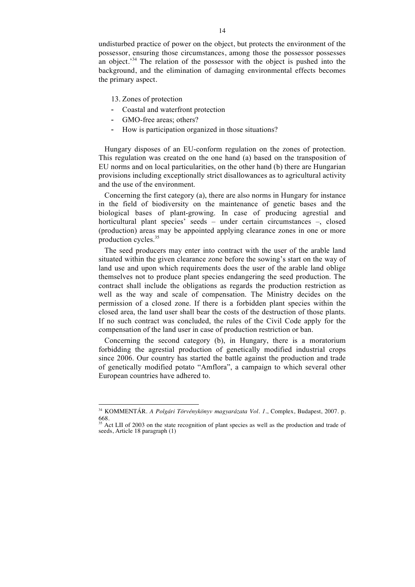undisturbed practice of power on the object, but protects the environment of the possessor, ensuring those circumstances, among those the possessor possesses an object.'<sup>34</sup> The relation of the possessor with the object is pushed into the background, and the elimination of damaging environmental effects becomes the primary aspect.

- 13. Zones of protection
- Coastal and waterfront protection
- GMO-free areas; others?
- How is participation organized in those situations?

Hungary disposes of an EU-conform regulation on the zones of protection. This regulation was created on the one hand (a) based on the transposition of EU norms and on local particularities, on the other hand (b) there are Hungarian provisions including exceptionally strict disallowances as to agricultural activity and the use of the environment.

Concerning the first category (a), there are also norms in Hungary for instance in the field of biodiversity on the maintenance of genetic bases and the biological bases of plant-growing. In case of producing agrestial and horticultural plant species' seeds – under certain circumstances –, closed (production) areas may be appointed applying clearance zones in one or more production cycles.<sup>35</sup>

The seed producers may enter into contract with the user of the arable land situated within the given clearance zone before the sowing's start on the way of land use and upon which requirements does the user of the arable land oblige themselves not to produce plant species endangering the seed production. The contract shall include the obligations as regards the production restriction as well as the way and scale of compensation. The Ministry decides on the permission of a closed zone. If there is a forbidden plant species within the closed area, the land user shall bear the costs of the destruction of those plants. If no such contract was concluded, the rules of the Civil Code apply for the compensation of the land user in case of production restriction or ban.

Concerning the second category (b), in Hungary, there is a moratorium forbidding the agrestial production of genetically modified industrial crops since 2006. Our country has started the battle against the production and trade of genetically modified potato "Amflora", a campaign to which several other European countries have adhered to.

 <sup>34</sup> KOMMENTÁR. *A Polgári Törvénykönyv magyarázata Vol. 1.*, Complex, Budapest, 2007. p. 668.

<sup>&</sup>lt;sup>35</sup> Act LII of 2003 on the state recognition of plant species as well as the production and trade of seeds, Article 18 paragraph (1)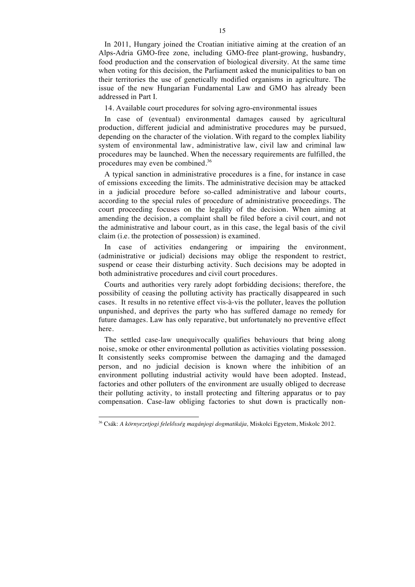In 2011, Hungary joined the Croatian initiative aiming at the creation of an Alps-Adria GMO-free zone, including GMO-free plant-growing, husbandry, food production and the conservation of biological diversity. At the same time when voting for this decision, the Parliament asked the municipalities to ban on their territories the use of genetically modified organisms in agriculture. The issue of the new Hungarian Fundamental Law and GMO has already been addressed in Part I.

14. Available court procedures for solving agro-environmental issues

In case of (eventual) environmental damages caused by agricultural production, different judicial and administrative procedures may be pursued, depending on the character of the violation. With regard to the complex liability system of environmental law, administrative law, civil law and criminal law procedures may be launched. When the necessary requirements are fulfilled, the procedures may even be combined.<sup>36</sup>

A typical sanction in administrative procedures is a fine, for instance in case of emissions exceeding the limits. The administrative decision may be attacked in a judicial procedure before so-called administrative and labour courts, according to the special rules of procedure of administrative proceedings. The court proceeding focuses on the legality of the decision. When aiming at amending the decision, a complaint shall be filed before a civil court, and not the administrative and labour court, as in this case, the legal basis of the civil claim (i.e. the protection of possession) is examined.

In case of activities endangering or impairing the environment, (administrative or judicial) decisions may oblige the respondent to restrict, suspend or cease their disturbing activity. Such decisions may be adopted in both administrative procedures and civil court procedures.

Courts and authorities very rarely adopt forbidding decisions; therefore, the possibility of ceasing the polluting activity has practically disappeared in such cases. It results in no retentive effect vis-à-vis the polluter, leaves the pollution unpunished, and deprives the party who has suffered damage no remedy for future damages. Law has only reparative, but unfortunately no preventive effect here.

The settled case-law unequivocally qualifies behaviours that bring along noise, smoke or other environmental pollution as activities violating possession. It consistently seeks compromise between the damaging and the damaged person, and no judicial decision is known where the inhibition of an environment polluting industrial activity would have been adopted. Instead, factories and other polluters of the environment are usually obliged to decrease their polluting activity, to install protecting and filtering apparatus or to pay compensation. Case-law obliging factories to shut down is practically non-

 <sup>36</sup> Csák: *A környezetjogi felelősség magánjogi dogmatikája,* Miskolci Egyetem, Miskolc 2012.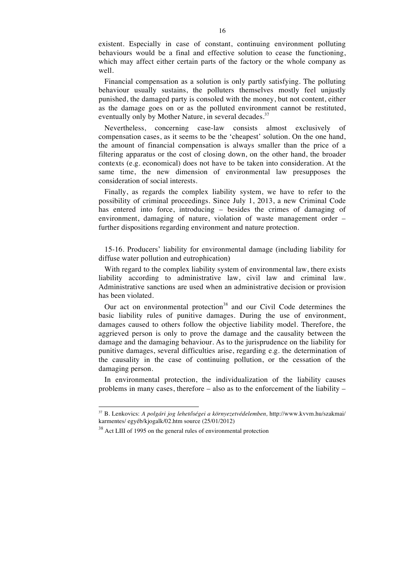existent. Especially in case of constant, continuing environment polluting behaviours would be a final and effective solution to cease the functioning, which may affect either certain parts of the factory or the whole company as well.

Financial compensation as a solution is only partly satisfying. The polluting behaviour usually sustains, the polluters themselves mostly feel unjustly punished, the damaged party is consoled with the money, but not content, either as the damage goes on or as the polluted environment cannot be restituted, eventually only by Mother Nature, in several decades.<sup>37</sup>

Nevertheless, concerning case-law consists almost exclusively of compensation cases, as it seems to be the 'cheapest' solution. On the one hand, the amount of financial compensation is always smaller than the price of a filtering apparatus or the cost of closing down, on the other hand, the broader contexts (e.g. economical) does not have to be taken into consideration. At the same time, the new dimension of environmental law presupposes the consideration of social interests.

Finally, as regards the complex liability system, we have to refer to the possibility of criminal proceedings. Since July 1, 2013, a new Criminal Code has entered into force, introducing – besides the crimes of damaging of environment, damaging of nature, violation of waste management order – further dispositions regarding environment and nature protection.

15-16. Producers' liability for environmental damage (including liability for diffuse water pollution and eutrophication)

With regard to the complex liability system of environmental law, there exists liability according to administrative law, civil law and criminal law. Administrative sanctions are used when an administrative decision or provision has been violated.

Our act on environmental protection<sup>38</sup> and our Civil Code determines the basic liability rules of punitive damages. During the use of environment, damages caused to others follow the objective liability model. Therefore, the aggrieved person is only to prove the damage and the causality between the damage and the damaging behaviour. As to the jurisprudence on the liability for punitive damages, several difficulties arise, regarding e.g. the determination of the causality in the case of continuing pollution, or the cessation of the damaging person.

In environmental protection, the individualization of the liability causes problems in many cases, therefore – also as to the enforcement of the liability –

 <sup>37</sup> B. Lenkovics: *A polgári jog lehetőségei a környezetvédelemben,* http://www.kvvm.hu/szakmai/ karmentes/ egyéb/kjogalk/02.htm source (25/01/2012)

<sup>&</sup>lt;sup>38</sup> Act LIII of 1995 on the general rules of environmental protection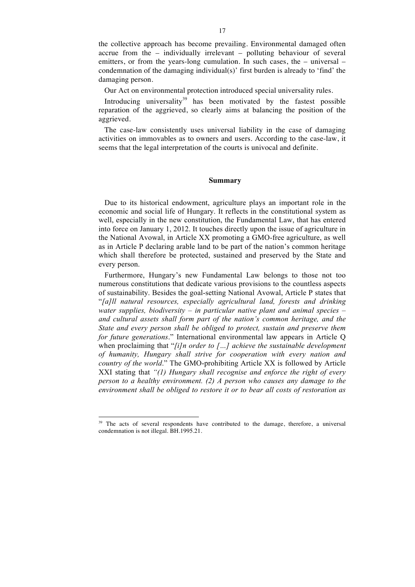the collective approach has become prevailing. Environmental damaged often accrue from the – individually irrelevant – polluting behaviour of several emitters, or from the years-long cumulation. In such cases, the – universal – condemnation of the damaging individual(s)' first burden is already to 'find' the damaging person.

Our Act on environmental protection introduced special universality rules.

Introducing universality<sup>39</sup> has been motivated by the fastest possible reparation of the aggrieved, so clearly aims at balancing the position of the aggrieved.

The case-law consistently uses universal liability in the case of damaging activities on immovables as to owners and users. According to the case-law, it seems that the legal interpretation of the courts is univocal and definite.

### **Summary**

Due to its historical endowment, agriculture plays an important role in the economic and social life of Hungary. It reflects in the constitutional system as well, especially in the new constitution, the Fundamental Law, that has entered into force on January 1, 2012. It touches directly upon the issue of agriculture in the National Avowal, in Article XX promoting a GMO-free agriculture, as well as in Article P declaring arable land to be part of the nation's common heritage which shall therefore be protected, sustained and preserved by the State and every person.

Furthermore, Hungary's new Fundamental Law belongs to those not too numerous constitutions that dedicate various provisions to the countless aspects of sustainability. Besides the goal-setting National Avowal, Article P states that "*[a]ll natural resources, especially agricultural land, forests and drinking water supplies, biodiversity – in particular native plant and animal species – and cultural assets shall form part of the nation's common heritage, and the State and every person shall be obliged to protect, sustain and preserve them for future generations*." International environmental law appears in Article Q when proclaiming that "*[i]n order to […] achieve the sustainable development of humanity, Hungary shall strive for cooperation with every nation and country of the world*." The GMO-prohibiting Article XX is followed by Article XXI stating that *"(1) Hungary shall recognise and enforce the right of every person to a healthy environment. (2) A person who causes any damage to the environment shall be obliged to restore it or to bear all costs of restoration as* 

<sup>&</sup>lt;sup>39</sup> The acts of several respondents have contributed to the damage, therefore, a universal condemnation is not illegal. BH.1995.21.